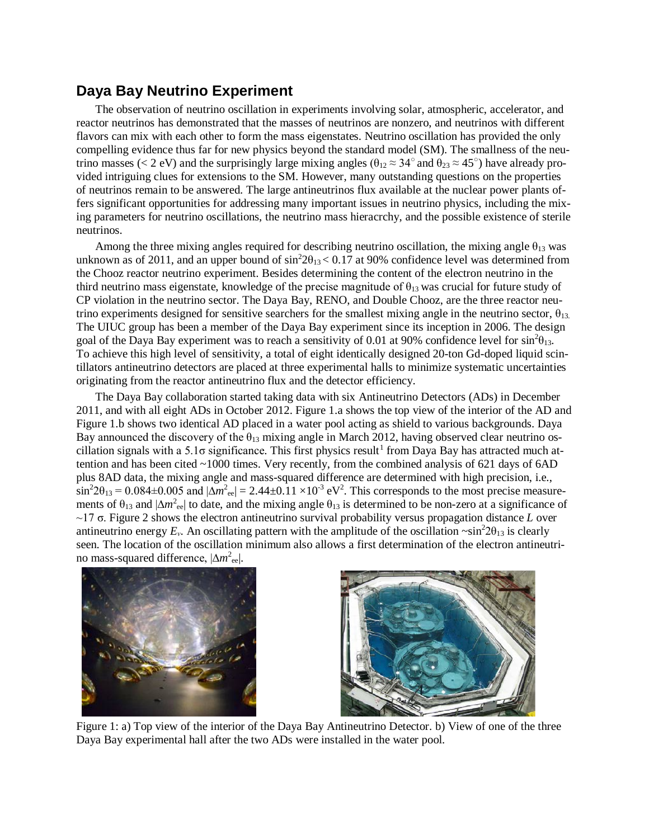## **Daya Bay Neutrino Experiment**

The observation of neutrino oscillation in experiments involving solar, atmospheric, accelerator, and reactor neutrinos has demonstrated that the masses of neutrinos are nonzero, and neutrinos with different flavors can mix with each other to form the mass eigenstates. Neutrino oscillation has provided the only compelling evidence thus far for new physics beyond the standard model (SM). The smallness of the neutrino masses (< 2 eV) and the surprisingly large mixing angles ( $\theta_{12} \approx 34^\circ$  and  $\theta_{23} \approx 45^\circ$ ) have already provided intriguing clues for extensions to the SM. However, many outstanding questions on the properties of neutrinos remain to be answered. The large antineutrinos flux available at the nuclear power plants offers significant opportunities for addressing many important issues in neutrino physics, including the mixing parameters for neutrino oscillations, the neutrino mass hieracrchy, and the possible existence of sterile neutrinos.

Among the three mixing angles required for describing neutrino oscillation, the mixing angle  $\theta_{13}$  was unknown as of 2011, and an upper bound of  $\sin^2 2\theta_{13} < 0.17$  at 90% confidence level was determined from the Chooz reactor neutrino experiment. Besides determining the content of the electron neutrino in the third neutrino mass eigenstate, knowledge of the precise magnitude of  $\theta_{13}$  was crucial for future study of CP violation in the neutrino sector. The Daya Bay, RENO, and Double Chooz, are the three reactor neutrino experiments designed for sensitive searchers for the smallest mixing angle in the neutrino sector,  $\theta_{13}$ . The UIUC group has been a member of the Daya Bay experiment since its inception in 2006. The design goal of the Daya Bay experiment was to reach a sensitivity of 0.01 at 90% confidence level for  $\sin^2\theta_{13}$ . To achieve this high level of sensitivity, a total of eight identically designed 20-ton Gd-doped liquid scintillators antineutrino detectors are placed at three experimental halls to minimize systematic uncertainties originating from the reactor antineutrino flux and the detector efficiency.

The Daya Bay collaboration started taking data with six Antineutrino Detectors (ADs) in December 2011, and with all eight ADs in October 2012. Figure 1.a shows the top view of the interior of the AD and Figure 1.b shows two identical AD placed in a water pool acting as shield to various backgrounds. Daya Bay announced the discovery of the  $\theta_{13}$  mixing angle in March 2012, having observed clear neutrino os-cillation signals with a 5.[1](#page-2-0) $\sigma$  significance. This first physics result<sup>1</sup> from Daya Bay has attracted much attention and has been cited ~1000 times. Very recently, from the combined analysis of 621 days of 6AD plus 8AD data, the mixing angle and mass-squared difference are determined with high precision, i.e.,  $\sin^2 2\theta_{13} = 0.084 \pm 0.005$  and  $|\Delta m^2_{\text{ee}}| = 2.44 \pm 0.11 \times 10^{-3} \text{ eV}^2$ . This corresponds to the most precise measurements of  $\theta_{13}$  and  $|\Delta m^2_{\text{ee}}|$  to date, and the mixing angle  $\theta_{13}$  is determined to be non-zero at a significance of ~17 σ. Figure 2 shows the electron antineutrino survival probability versus propagation distance *L* over antineutrino energy  $E_v$ . An oscillating pattern with the amplitude of the oscillation  $\sim \sin^2 2\theta_{13}$  is clearly seen. The location of the oscillation minimum also allows a first determination of the electron antineutrino mass-squared difference, |∆*m*<sup>2</sup><sub>ee</sub>|.





Figure 1: a) Top view of the interior of the Daya Bay Antineutrino Detector. b) View of one of the three Daya Bay experimental hall after the two ADs were installed in the water pool.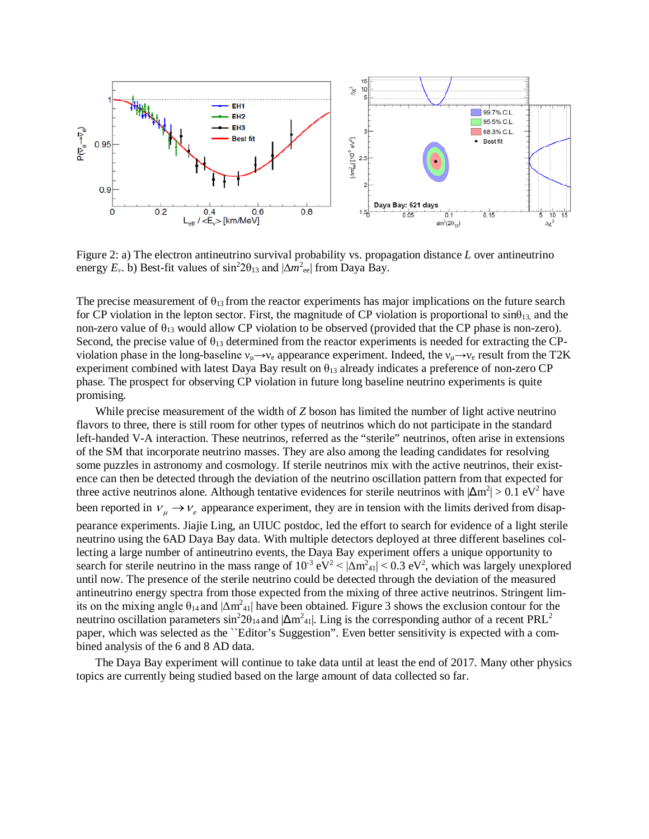

Figure 2: a) The electron antineutrino survival probability vs. propagation distance *L* over antineutrino energy  $E_\nu$ . b) Best-fit values of sin<sup>2</sup>2 $\theta_{13}$  and  $|\Delta m^2_{\text{ee}}|$  from Daya Bay.

The precise measurement of  $\theta_{13}$  from the reactor experiments has major implications on the future search for CP violation in the lepton sector. First, the magnitude of CP violation is proportional to  $\sin\theta_{13}$ , and the non-zero value of  $\theta_{13}$  would allow CP violation to be observed (provided that the CP phase is non-zero). Second, the precise value of  $\theta_{13}$  determined from the reactor experiments is needed for extracting the CPviolation phase in the long-baseline  $v_\mu \rightarrow v_e$  appearance experiment. Indeed, the  $v_\mu \rightarrow v_e$  result from the T2K experiment combined with latest Daya Bay result on  $\theta_{13}$  already indicates a preference of non-zero CP phase. The prospect for observing CP violation in future long baseline neutrino experiments is quite promising.

While precise measurement of the width of *Z* boson has limited the number of light active neutrino flavors to three, there is still room for other types of neutrinos which do not participate in the standard left-handed V-A interaction. These neutrinos, referred as the "sterile" neutrinos, often arise in extensions of the SM that incorporate neutrino masses. They are also among the leading candidates for resolving some puzzles in astronomy and cosmology. If sterile neutrinos mix with the active neutrinos, their existence can then be detected through the deviation of the neutrino oscillation pattern from that expected for three active neutrinos alone. Although tentative evidences for sterile neutrinos with  $|\Delta m^2| > 0.1$  eV<sup>2</sup> have been reported in  $v_{\mu} \rightarrow v_{e}$  appearance experiment, they are in tension with the limits derived from disappearance experiments. Jiajie Ling, an UIUC postdoc, led the effort to search for evidence of a light sterile neutrino using the 6AD Daya Bay data. With multiple detectors deployed at three different baselines collecting a large number of antineutrino events, the Daya Bay experiment offers a unique opportunity to search for sterile neutrino in the mass range of  $10^{-3} eV^2 < |\Delta m^2_{41}| < 0.3 eV^2$ , which was largely unexplored until now. The presence of the sterile neutrino could be detected through the deviation of the measured antineutrino energy spectra from those expected from the mixing of three active neutrinos. Stringent limits on the mixing angle  $\theta_{14}$  and  $|\Delta m^2_{41}|$  have been obtained. Figure 3 shows the exclusion contour for the neutrino oscillation parameters  $\sin^2 2\theta_{14}$  $\sin^2 2\theta_{14}$  $\sin^2 2\theta_{14}$  and  $|\Delta m^2_{41}|$ . Ling is the corresponding author of a recent PRL<sup>2</sup> paper, which was selected as the ``Editor's Suggestion". Even better sensitivity is expected with a combined analysis of the 6 and 8 AD data.

The Daya Bay experiment will continue to take data until at least the end of 2017. Many other physics topics are currently being studied based on the large amount of data collected so far.